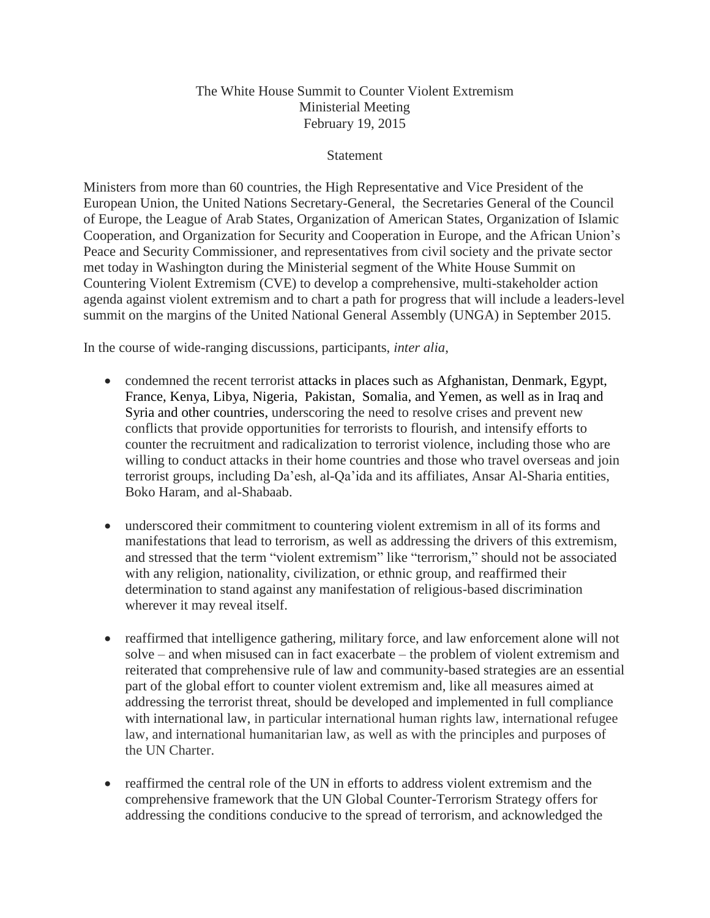## The White House Summit to Counter Violent Extremism Ministerial Meeting February 19, 2015

## **Statement**

Ministers from more than 60 countries, the High Representative and Vice President of the European Union, the United Nations Secretary-General, the Secretaries General of the Council of Europe, the League of Arab States, Organization of American States, Organization of Islamic Cooperation, and Organization for Security and Cooperation in Europe, and the African Union's Peace and Security Commissioner, and representatives from civil society and the private sector met today in Washington during the Ministerial segment of the White House Summit on Countering Violent Extremism (CVE) to develop a comprehensive, multi-stakeholder action agenda against violent extremism and to chart a path for progress that will include a leaders-level summit on the margins of the United National General Assembly (UNGA) in September 2015.

In the course of wide-ranging discussions, participants, *inter alia*,

- condemned the recent terrorist attacks in places such as Afghanistan, Denmark, Egypt, France, Kenya, Libya, Nigeria, Pakistan, Somalia, and Yemen, as well as in Iraq and Syria and other countries, underscoring the need to resolve crises and prevent new conflicts that provide opportunities for terrorists to flourish, and intensify efforts to counter the recruitment and radicalization to terrorist violence, including those who are willing to conduct attacks in their home countries and those who travel overseas and join terrorist groups, including Da'esh, al-Qa'ida and its affiliates, Ansar Al-Sharia entities, Boko Haram, and al-Shabaab.
- underscored their commitment to countering violent extremism in all of its forms and manifestations that lead to terrorism, as well as addressing the drivers of this extremism, and stressed that the term "violent extremism" like "terrorism," should not be associated with any religion, nationality, civilization, or ethnic group, and reaffirmed their determination to stand against any manifestation of religious-based discrimination wherever it may reveal itself.
- reaffirmed that intelligence gathering, military force, and law enforcement alone will not solve – and when misused can in fact exacerbate – the problem of violent extremism and reiterated that comprehensive rule of law and community-based strategies are an essential part of the global effort to counter violent extremism and, like all measures aimed at addressing the terrorist threat, should be developed and implemented in full compliance with international law, in particular international human rights law, international refugee law, and international humanitarian law, as well as with the principles and purposes of the UN Charter.
- reaffirmed the central role of the UN in efforts to address violent extremism and the comprehensive framework that the UN Global Counter-Terrorism Strategy offers for addressing the conditions conducive to the spread of terrorism, and acknowledged the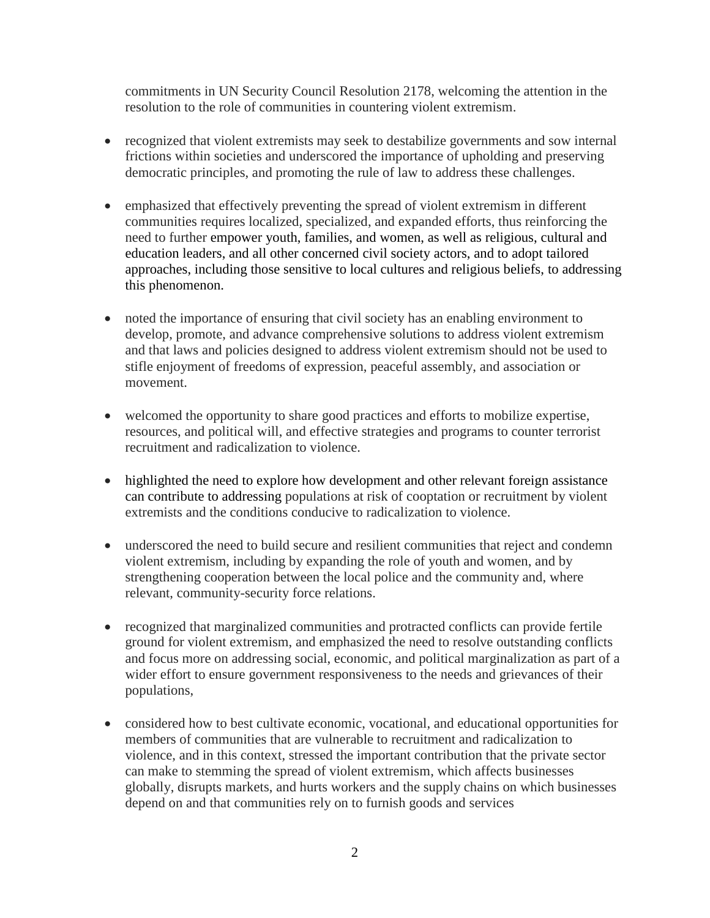commitments in UN Security Council Resolution 2178, welcoming the attention in the resolution to the role of communities in countering violent extremism.

- recognized that violent extremists may seek to destabilize governments and sow internal frictions within societies and underscored the importance of upholding and preserving democratic principles, and promoting the rule of law to address these challenges.
- emphasized that effectively preventing the spread of violent extremism in different communities requires localized, specialized, and expanded efforts, thus reinforcing the need to further empower youth, families, and women, as well as religious, cultural and education leaders, and all other concerned civil society actors, and to adopt tailored approaches, including those sensitive to local cultures and religious beliefs, to addressing this phenomenon.
- noted the importance of ensuring that civil society has an enabling environment to develop, promote, and advance comprehensive solutions to address violent extremism and that laws and policies designed to address violent extremism should not be used to stifle enjoyment of freedoms of expression, peaceful assembly, and association or movement.
- welcomed the opportunity to share good practices and efforts to mobilize expertise, resources, and political will, and effective strategies and programs to counter terrorist recruitment and radicalization to violence.
- highlighted the need to explore how development and other relevant foreign assistance can contribute to addressing populations at risk of cooptation or recruitment by violent extremists and the conditions conducive to radicalization to violence.
- underscored the need to build secure and resilient communities that reject and condemn violent extremism, including by expanding the role of youth and women, and by strengthening cooperation between the local police and the community and, where relevant, community-security force relations.
- recognized that marginalized communities and protracted conflicts can provide fertile ground for violent extremism, and emphasized the need to resolve outstanding conflicts and focus more on addressing social, economic, and political marginalization as part of a wider effort to ensure government responsiveness to the needs and grievances of their populations,
- considered how to best cultivate economic, vocational, and educational opportunities for members of communities that are vulnerable to recruitment and radicalization to violence, and in this context, stressed the important contribution that the private sector can make to stemming the spread of violent extremism, which affects businesses globally, disrupts markets, and hurts workers and the supply chains on which businesses depend on and that communities rely on to furnish goods and services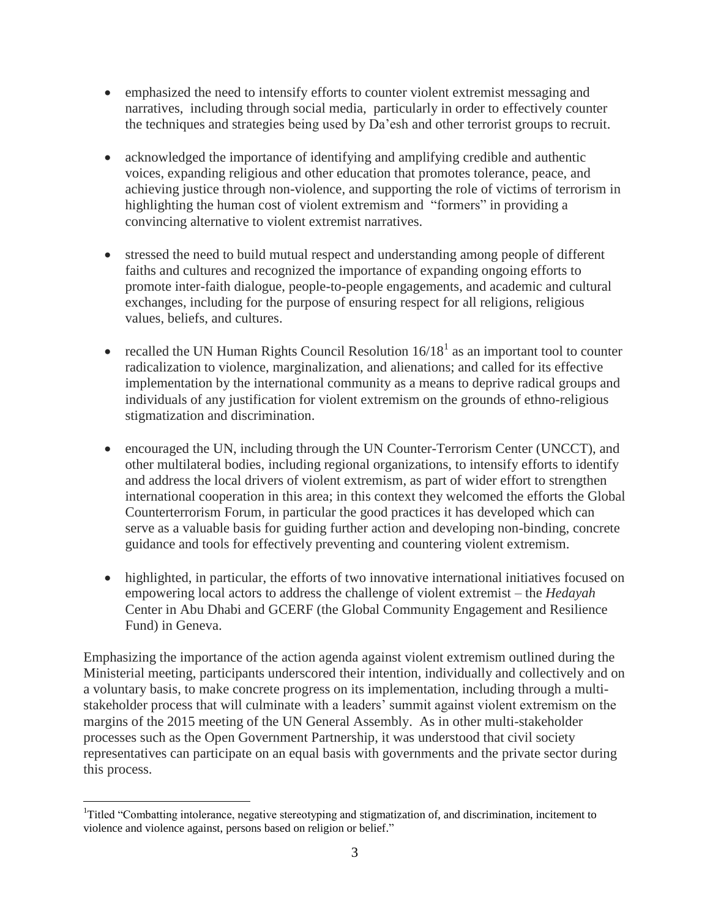- emphasized the need to intensify efforts to counter violent extremist messaging and narratives, including through social media, particularly in order to effectively counter the techniques and strategies being used by Da'esh and other terrorist groups to recruit.
- acknowledged the importance of identifying and amplifying credible and authentic voices, expanding religious and other education that promotes tolerance, peace, and achieving justice through non-violence, and supporting the role of victims of terrorism in highlighting the human cost of violent extremism and "formers" in providing a convincing alternative to violent extremist narratives.
- stressed the need to build mutual respect and understanding among people of different faiths and cultures and recognized the importance of expanding ongoing efforts to promote inter-faith dialogue, people-to-people engagements, and academic and cultural exchanges, including for the purpose of ensuring respect for all religions, religious values, beliefs, and cultures.
- recalled the UN Human Rights Council Resolution  $16/18<sup>1</sup>$  as an important tool to counter radicalization to violence, marginalization, and alienations; and called for its effective implementation by the international community as a means to deprive radical groups and individuals of any justification for violent extremism on the grounds of ethno-religious stigmatization and discrimination.
- encouraged the UN, including through the UN Counter-Terrorism Center (UNCCT), and other multilateral bodies, including regional organizations, to intensify efforts to identify and address the local drivers of violent extremism, as part of wider effort to strengthen international cooperation in this area; in this context they welcomed the efforts the Global Counterterrorism Forum, in particular the good practices it has developed which can serve as a valuable basis for guiding further action and developing non-binding, concrete guidance and tools for effectively preventing and countering violent extremism.
- highlighted, in particular, the efforts of two innovative international initiatives focused on empowering local actors to address the challenge of violent extremist – the *Hedayah*  Center in Abu Dhabi and GCERF (the Global Community Engagement and Resilience Fund) in Geneva.

Emphasizing the importance of the action agenda against violent extremism outlined during the Ministerial meeting, participants underscored their intention, individually and collectively and on a voluntary basis, to make concrete progress on its implementation, including through a multistakeholder process that will culminate with a leaders' summit against violent extremism on the margins of the 2015 meeting of the UN General Assembly. As in other multi-stakeholder processes such as the Open Government Partnership, it was understood that civil society representatives can participate on an equal basis with governments and the private sector during this process.

 $\overline{a}$ 

<sup>&</sup>lt;sup>1</sup>Titled "Combatting intolerance, negative stereotyping and stigmatization of, and discrimination, incitement to violence and violence against, persons based on religion or belief."